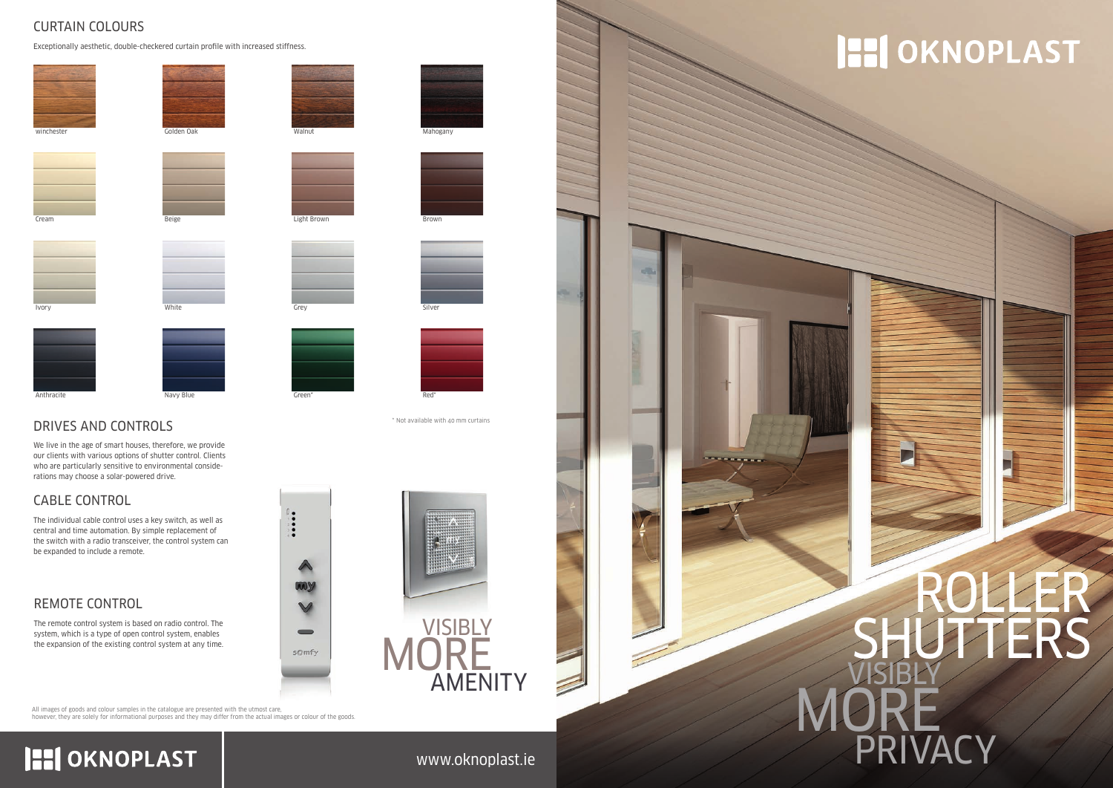### www.oknoplast.ie

#### CURTAIN COLOURS

Exceptionally aesthetic, double-checkered curtain profile with increased stiffness.



#### CABLE CONTROL

The individual cable control uses a key switch, as well as central and time automation. By simple replacement of the switch with a radio transceiver, the control system can be expanded to include a remote.

#### REMOTE CONTROL

# VISIBLY MORE PRIVA ROLLER SHUTTERS

The remote control system is based on radio control. The system, which is a type of open control system, enables the expansion of the existing control system at any time.





All images of goods and colour samples in the catalogue are presented with the utmost care, however, they are solely for informational purposes and they may differ from the actual images or colour of the goods.

# **HI OKNOPLAST**

# **HI OKNOPLAST**

\* Not available with 40 mm curtains

## DRIVES AND CONTROLS

We live in the age of smart houses, therefore, we provide our clients with various options of shutter control. Clients who are particularly sensitive to environmental considerations may choose a solar-powered drive.





Beige

**Cream** 









....

 $\blacktriangle$ 

ww

 $\vee$ 

 $\qquad \qquad$ 

somfy